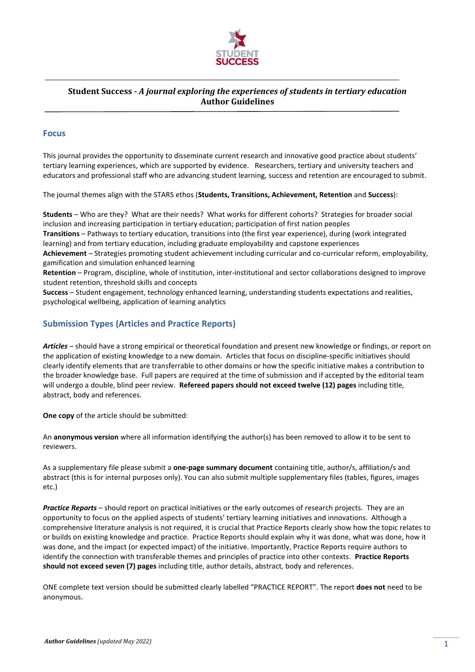

#### **Focus**

This journal provides the opportunity to disseminate current research and innovative good practice about students' tertiary learning experiences, which are supported by evidence. Researchers, tertiary and university teachers and educators and professional staff who are advancing student learning, success and retention are encouraged to submit.

The journal themes align with the STARS ethos (**Students, Transitions, Achievement, Retention** and **Success**):

**Students** – Who are they? What are their needs? What works for different cohorts? Strategies for broader social inclusion and increasing participation in tertiary education; participation of first nation peoples

**Transitions** – Pathways to tertiary education, transitions into (the first year experience), during (work integrated learning) and from tertiary education, including graduate employability and capstone experiences

**Achievement** – Strategies promoting student achievement including curricular and co-curricular reform, employability, gamification and simulation enhanced learning

**Retention** – Program, discipline, whole of institution, inter-institutional and sector collaborations designed to improve student retention, threshold skills and concepts

**Success** – Student engagement, technology enhanced learning, understanding students expectations and realities, psychological wellbeing, application of learning analytics

#### **Submission Types (Articles and Practice Reports)**

*Articles* – should have a strong empirical or theoretical foundation and present new knowledge or findings, or report on the application of existing knowledge to a new domain. Articles that focus on discipline-specific initiatives should clearly identify elements that are transferrable to other domains or how the specific initiative makes a contribution to the broader knowledge base. Full papers are required at the time of submission and if accepted by the editorial team will undergo a double, blind peer review. **Refereed papers should not exceed twelve (12) pages** including title, abstract, body and references.

**One copy** of the article should be submitted:

An **anonymous version** where all information identifying the author(s) has been removed to allow it to be sent to reviewers.

As a supplementary file please submit a **one-page summary document** containing title, author/s, affiliation/s and abstract (this is for internal purposes only). You can also submit multiple supplementary files (tables, figures, images etc.)

*Practice Reports* – should report on practical initiatives or the early outcomes of research projects. They are an opportunity to focus on the applied aspects of students' tertiary learning initiatives and innovations. Although a comprehensive literature analysis is not required, it is crucial that Practice Reports clearly show how the topic relates to or builds on existing knowledge and practice. Practice Reports should explain why it was done, what was done, how it was done, and the impact (or expected impact) of the initiative. Importantly, Practice Reports require authors to identify the connection with transferable themes and principles of practice into other contexts. **Practice Reports should not exceed seven (7) pages** including title, author details, abstract, body and references.

ONE complete text version should be submitted clearly labelled "PRACTICE REPORT". The report **does not** need to be anonymous.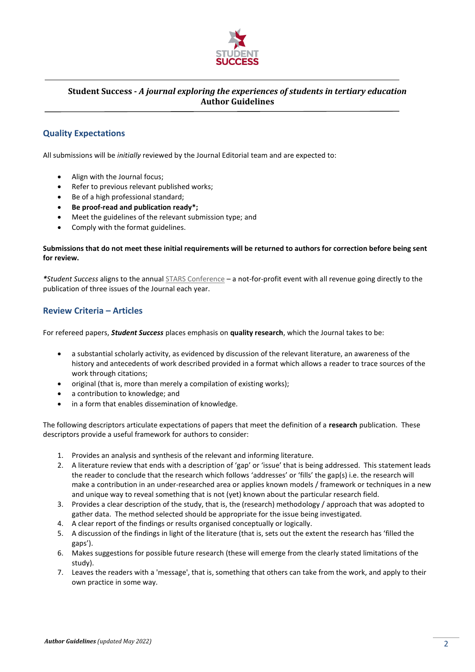

# **Quality Expectations**

All submissions will be *initially* reviewed by the Journal Editorial team and are expected to:

- Align with the Journal focus;
- Refer to previous relevant published works;
- Be of a high professional standard;
- **Be proof-read and publication ready\*;**
- Meet the guidelines of the relevant submission type; and
- Comply with the format guidelines.

#### **Submissions that do not meet these initial requirements will be returned to authors for correction before being sent for review.**

*\*Student Success* aligns to the annua[l STARS Conference](http://unistars.org/) – a not-for-profit event with all revenue going directly to the publication of three issues of the Journal each year.

## **Review Criteria – Articles**

For refereed papers, *Student Success* places emphasis on **quality research**, which the Journal takes to be:

- a substantial scholarly activity, as evidenced by discussion of the relevant literature, an awareness of the history and antecedents of work described provided in a format which allows a reader to trace sources of the work through citations;
- original (that is, more than merely a compilation of existing works);
- a contribution to knowledge; and
- in a form that enables dissemination of knowledge.

The following descriptors articulate expectations of papers that meet the definition of a **research** publication. These descriptors provide a useful framework for authors to consider:

- 1. Provides an analysis and synthesis of the relevant and informing literature.
- 2. A literature review that ends with a description of 'gap' or 'issue' that is being addressed. This statement leads the reader to conclude that the research which follows 'addresses' or 'fills' the gap(s) i.e. the research will make a contribution in an under-researched area or applies known models / framework or techniques in a new and unique way to reveal something that is not (yet) known about the particular research field.
- 3. Provides a clear description of the study, that is, the (research) methodology / approach that was adopted to gather data. The method selected should be appropriate for the issue being investigated.
- 4. A clear report of the findings or results organised conceptually or logically.
- 5. A discussion of the findings in light of the literature (that is, sets out the extent the research has 'filled the gaps').
- 6. Makes suggestions for possible future research (these will emerge from the clearly stated limitations of the study).
- 7. Leaves the readers with a 'message', that is, something that others can take from the work, and apply to their own practice in some way.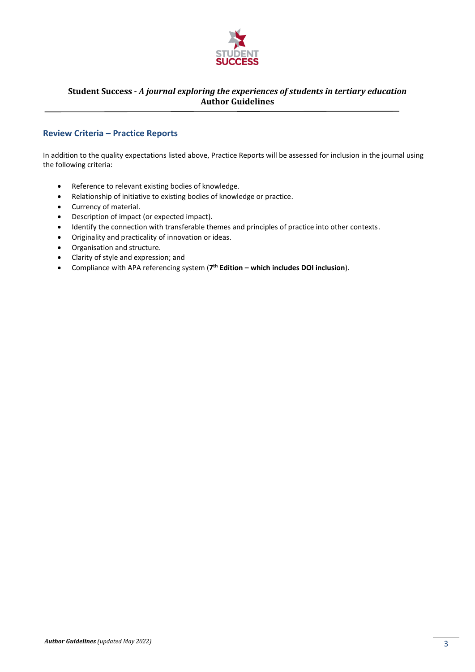

## **Review Criteria – Practice Reports**

In addition to the quality expectations listed above, Practice Reports will be assessed for inclusion in the journal using the following criteria:

- Reference to relevant existing bodies of knowledge.
- Relationship of initiative to existing bodies of knowledge or practice.
- Currency of material.
- Description of impact (or expected impact).
- Identify the connection with transferable themes and principles of practice into other contexts.
- Originality and practicality of innovation or ideas.
- Organisation and structure.
- Clarity of style and expression; and
- Compliance with APA referencing system (**7 th Edition – which includes DOI inclusion**).